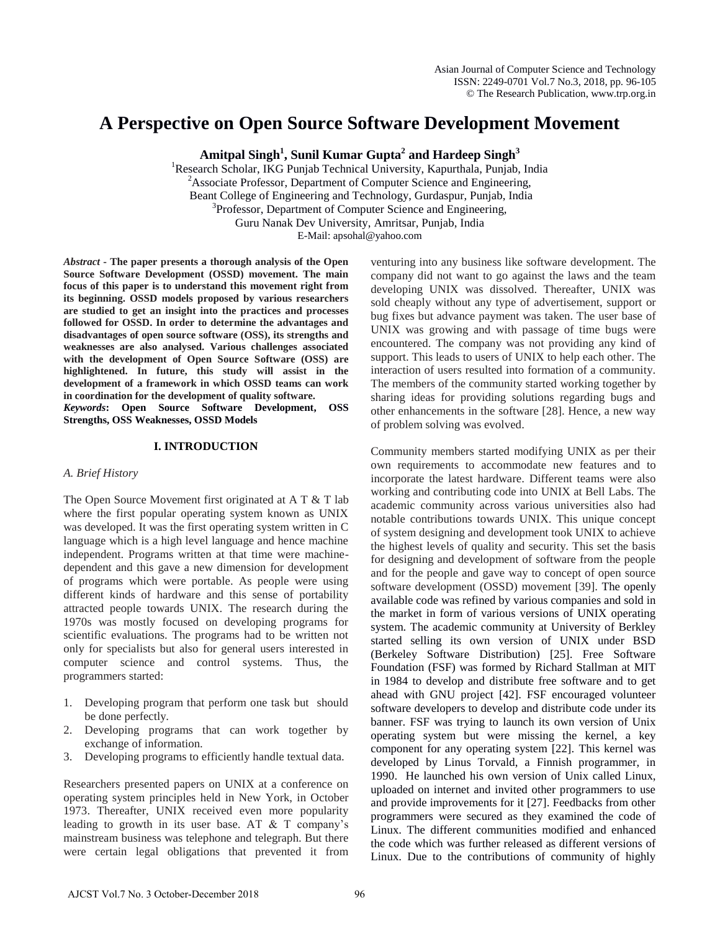# **A Perspective on Open Source Software Development Movement**

**Amitpal Singh<sup>1</sup> , Sunil Kumar Gupta<sup>2</sup> and Hardeep Singh<sup>3</sup>**

<sup>1</sup>Research Scholar, IKG Punjab Technical University, Kapurthala, Punjab, India <sup>2</sup>Associate Professor, Department of Computer Science and Engineering, Beant College of Engineering and Technology, Gurdaspur, Punjab, India <sup>3</sup>Professor, Department of Computer Science and Engineering, Guru Nanak Dev University, Amritsar, Punjab, India E-Mail: apsohal@yahoo.com

*Abstract* **- The paper presents a thorough analysis of the Open Source Software Development (OSSD) movement. The main focus of this paper is to understand this movement right from its beginning. OSSD models proposed by various researchers are studied to get an insight into the practices and processes followed for OSSD. In order to determine the advantages and disadvantages of open source software (OSS), its strengths and weaknesses are also analysed. Various challenges associated with the development of Open Source Software (OSS) are highlightened. In future, this study will assist in the development of a framework in which OSSD teams can work in coordination for the development of quality software.**

*Keywords***: Open Source Software Development, OSS Strengths, OSS Weaknesses, OSSD Models**

# **I. INTRODUCTION**

# *A. Brief History*

The Open Source Movement first originated at A T & T lab where the first popular operating system known as UNIX was developed. It was the first operating system written in C language which is a high level language and hence machine independent. Programs written at that time were machinedependent and this gave a new dimension for development of programs which were portable. As people were using different kinds of hardware and this sense of portability attracted people towards UNIX. The research during the 1970s was mostly focused on developing programs for scientific evaluations. The programs had to be written not only for specialists but also for general users interested in computer science and control systems. Thus, the programmers started:

- 1. Developing program that perform one task but should be done perfectly.
- 2. Developing programs that can work together by exchange of information.
- 3. Developing programs to efficiently handle textual data.

Researchers presented papers on UNIX at a conference on operating system principles held in New York, in October 1973. Thereafter, UNIX received even more popularity leading to growth in its user base. AT  $&$  T company's mainstream business was telephone and telegraph. But there were certain legal obligations that prevented it from

venturing into any business like software development. The company did not want to go against the laws and the team developing UNIX was dissolved. Thereafter, UNIX was sold cheaply without any type of advertisement, support or bug fixes but advance payment was taken. The user base of UNIX was growing and with passage of time bugs were encountered. The company was not providing any kind of support. This leads to users of UNIX to help each other. The interaction of users resulted into formation of a community. The members of the community started working together by sharing ideas for providing solutions regarding bugs and other enhancements in the software [28]. Hence, a new way of problem solving was evolved.

Community members started modifying UNIX as per their own requirements to accommodate new features and to incorporate the latest hardware. Different teams were also working and contributing code into UNIX at Bell Labs. The academic community across various universities also had notable contributions towards UNIX. This unique concept of system designing and development took UNIX to achieve the highest levels of quality and security. This set the basis for designing and development of software from the people and for the people and gave way to concept of open source software development (OSSD) movement [39]. The openly available code was refined by various companies and sold in the market in form of various versions of UNIX operating system. The academic community at University of Berkley started selling its own version of UNIX under BSD (Berkeley Software Distribution) [25]. Free Software Foundation (FSF) was formed by Richard Stallman at MIT in 1984 to develop and distribute free software and to get ahead with GNU project [42]. FSF encouraged volunteer software developers to develop and distribute code under its banner. FSF was trying to launch its own version of Unix operating system but were missing the kernel, a key component for any operating system [22]. This kernel was developed by Linus Torvald, a Finnish programmer, in 1990. He launched his own version of Unix called Linux, uploaded on internet and invited other programmers to use and provide improvements for it [27]. Feedbacks from other programmers were secured as they examined the code of Linux. The different communities modified and enhanced the code which was further released as different versions of Linux. Due to the contributions of community of highly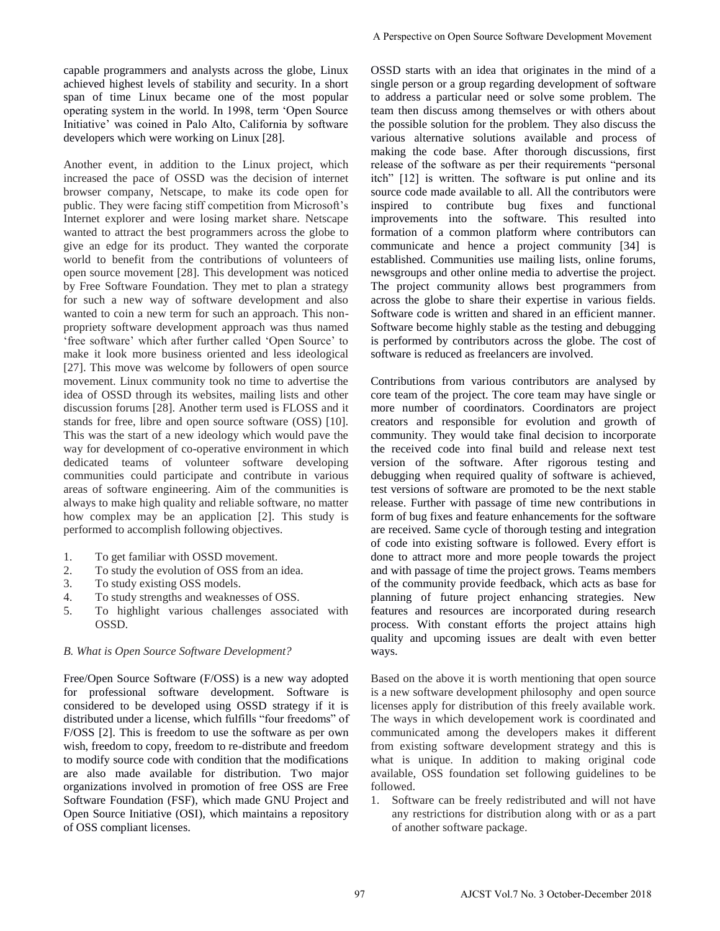capable programmers and analysts across the globe, Linux achieved highest levels of stability and security. In a short span of time Linux became one of the most popular operating system in the world. In 1998, term "Open Source Initiative" was coined in Palo Alto, California by software developers which were working on Linux [28].

Another event, in addition to the Linux project, which increased the pace of OSSD was the decision of internet browser company, Netscape, to make its code open for public. They were facing stiff competition from Microsoft"s Internet explorer and were losing market share. Netscape wanted to attract the best programmers across the globe to give an edge for its product. They wanted the corporate world to benefit from the contributions of volunteers of open source movement [28]. This development was noticed by Free Software Foundation. They met to plan a strategy for such a new way of software development and also wanted to coin a new term for such an approach. This nonpropriety software development approach was thus named "free software" which after further called "Open Source" to make it look more business oriented and less ideological [27]. This move was welcome by followers of open source movement. Linux community took no time to advertise the idea of OSSD through its websites, mailing lists and other discussion forums [28]. Another term used is FLOSS and it stands for free, libre and open source software (OSS) [10]. This was the start of a new ideology which would pave the way for development of co-operative environment in which dedicated teams of volunteer software developing communities could participate and contribute in various areas of software engineering. Aim of the communities is always to make high quality and reliable software, no matter how complex may be an application [2]. This study is performed to accomplish following objectives.

- 1. To get familiar with OSSD movement.
- 2. To study the evolution of OSS from an idea.
- 3. To study existing OSS models.
- 4. To study strengths and weaknesses of OSS.
- 5. To highlight various challenges associated with OSSD.

# *B. What is Open Source Software Development?*

Free/Open Source Software (F/OSS) is a new way adopted for professional software development. Software is considered to be developed using OSSD strategy if it is distributed under a license, which fulfills "four freedoms" of F/OSS [2]. This is freedom to use the software as per own wish, freedom to copy, freedom to re-distribute and freedom to modify source code with condition that the modifications are also made available for distribution. Two major organizations involved in promotion of free OSS are Free Software Foundation (FSF), which made GNU Project and Open Source Initiative (OSI), which maintains a repository of OSS compliant licenses.

OSSD starts with an idea that originates in the mind of a single person or a group regarding development of software to address a particular need or solve some problem. The team then discuss among themselves or with others about the possible solution for the problem. They also discuss the various alternative solutions available and process of making the code base. After thorough discussions, first release of the software as per their requirements "personal itch" [12] is written. The software is put online and its source code made available to all. All the contributors were inspired to contribute bug fixes and functional improvements into the software. This resulted into formation of a common platform where contributors can communicate and hence a project community [34] is established. Communities use mailing lists, online forums, newsgroups and other online media to advertise the project. The project community allows best programmers from across the globe to share their expertise in various fields. Software code is written and shared in an efficient manner. Software become highly stable as the testing and debugging is performed by contributors across the globe. The cost of software is reduced as freelancers are involved. A Perspective on Open Source Software Development Movement<br>
OSSD states with an idea that originates in the mind of<br>
using the provincial angel and originates in the mind of<br>
to addessa a perticular med of solves-many per

Contributions from various contributors are analysed by core team of the project. The core team may have single or more number of coordinators. Coordinators are project creators and responsible for evolution and growth of community. They would take final decision to incorporate the received code into final build and release next test version of the software. After rigorous testing and debugging when required quality of software is achieved, test versions of software are promoted to be the next stable release. Further with passage of time new contributions in form of bug fixes and feature enhancements for the software are received. Same cycle of thorough testing and integration of code into existing software is followed. Every effort is done to attract more and more people towards the project and with passage of time the project grows. Teams members of the community provide feedback, which acts as base for planning of future project enhancing strategies. New features and resources are incorporated during research process. With constant efforts the project attains high quality and upcoming issues are dealt with even better ways.

Based on the above it is worth mentioning that open source is a new software development philosophy and open source licenses apply for distribution of this freely available work. The ways in which developement work is coordinated and communicated among the developers makes it different from existing software development strategy and this is what is unique. In addition to making original code available, OSS foundation set following guidelines to be followed.

1. Software can be freely redistributed and will not have any restrictions for distribution along with or as a part of another software package.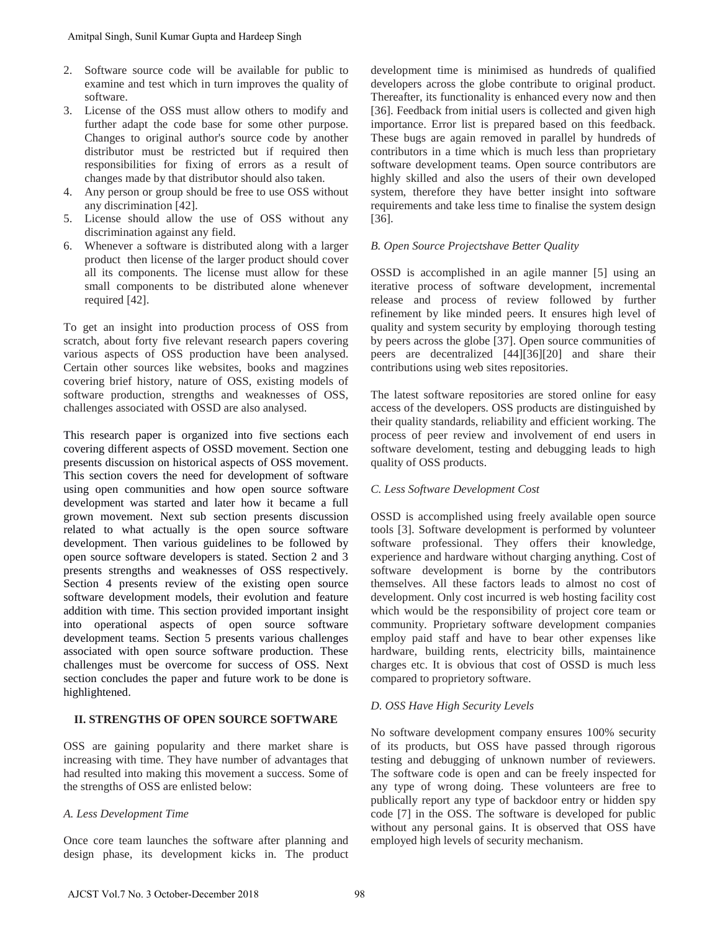- 2. Software source code will be available for public to examine and test which in turn improves the quality of software.
- 3. License of the OSS must allow others to modify and further adapt the code base for some other purpose. Changes to original author's source code by another distributor must be restricted but if required then responsibilities for fixing of errors as a result of changes made by that distributor should also taken.
- 4. Any person or group should be free to use OSS without any discrimination [42].
- 5. License should allow the use of OSS without any discrimination against any field.
- 6. Whenever a software is distributed along with a larger product then license of the larger product should cover all its components. The license must allow for these small components to be distributed alone whenever required [42].

To get an insight into production process of OSS from scratch, about forty five relevant research papers covering various aspects of OSS production have been analysed. Certain other sources like websites, books and magzines covering brief history, nature of OSS, existing models of software production, strengths and weaknesses of OSS, challenges associated with OSSD are also analysed.

This research paper is organized into five sections each covering different aspects of OSSD movement. Section one presents discussion on historical aspects of OSS movement. This section covers the need for development of software using open communities and how open source software development was started and later how it became a full grown movement. Next sub section presents discussion related to what actually is the open source software development. Then various guidelines to be followed by open source software developers is stated. Section 2 and 3 presents strengths and weaknesses of OSS respectively. Section 4 presents review of the existing open source software development models, their evolution and feature addition with time. This section provided important insight into operational aspects of open source software development teams. Section 5 presents various challenges associated with open source software production. These challenges must be overcome for success of OSS. Next section concludes the paper and future work to be done is highlightened. Amitpal Singh, Suni Kumar Gupta and Hardeep Singh<br>
2. Software source code will be available for public to<br>
solvence or code with in turn improves to modify and<br>
1. License of the OSS must allow orbers to modify and<br>
furth

# **II. STRENGTHS OF OPEN SOURCE SOFTWARE**

OSS are gaining popularity and there market share is increasing with time. They have number of advantages that had resulted into making this movement a success. Some of the strengths of OSS are enlisted below:

# *A. Less Development Time*

Once core team launches the software after planning and design phase, its development kicks in. The product development time is minimised as hundreds of qualified developers across the globe contribute to original product. Thereafter, its functionality is enhanced every now and then [36]. Feedback from initial users is collected and given high importance. Error list is prepared based on this feedback. These bugs are again removed in parallel by hundreds of contributors in a time which is much less than proprietary software development teams. Open source contributors are highly skilled and also the users of their own developed system, therefore they have better insight into software requirements and take less time to finalise the system design [36].

# *B. Open Source Projectshave Better Quality*

OSSD is accomplished in an agile manner [5] using an iterative process of software development, incremental release and process of review followed by further refinement by like minded peers. It ensures high level of quality and system security by employing thorough testing by peers across the globe [37]. Open source communities of peers are decentralized [44][36][20] and share their contributions using web sites repositories.

The latest software repositories are stored online for easy access of the developers. OSS products are distinguished by their quality standards, reliability and efficient working. The process of peer review and involvement of end users in software develoment, testing and debugging leads to high quality of OSS products.

# *C. Less Software Development Cost*

OSSD is accomplished using freely available open source tools [3]. Software development is performed by volunteer software professional. They offers their knowledge, experience and hardware without charging anything. Cost of software development is borne by the contributors themselves. All these factors leads to almost no cost of development. Only cost incurred is web hosting facility cost which would be the responsibility of project core team or community. Proprietary software development companies employ paid staff and have to bear other expenses like hardware, building rents, electricity bills, maintainence charges etc. It is obvious that cost of OSSD is much less compared to proprietory software.

# *D. OSS Have High Security Levels*

No software development company ensures 100% security of its products, but OSS have passed through rigorous testing and debugging of unknown number of reviewers. The software code is open and can be freely inspected for any type of wrong doing. These volunteers are free to publically report any type of backdoor entry or hidden spy code [7] in the OSS. The software is developed for public without any personal gains. It is observed that OSS have employed high levels of security mechanism.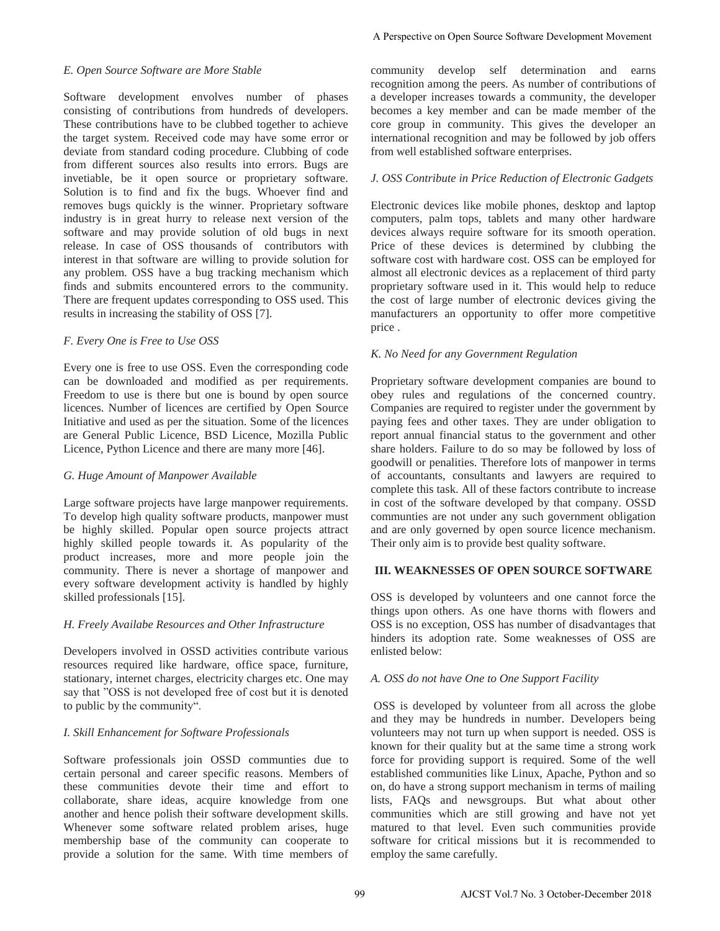#### *E. Open Source Software are More Stable*

Software development envolves number of phases consisting of contributions from hundreds of developers. These contributions have to be clubbed together to achieve the target system. Received code may have some error or deviate from standard coding procedure. Clubbing of code from different sources also results into errors. Bugs are invetiable, be it open source or proprietary software. Solution is to find and fix the bugs. Whoever find and removes bugs quickly is the winner. Proprietary software industry is in great hurry to release next version of the software and may provide solution of old bugs in next release. In case of OSS thousands of contributors with interest in that software are willing to provide solution for any problem. OSS have a bug tracking mechanism which finds and submits encountered errors to the community. There are frequent updates corresponding to OSS used. This results in increasing the stability of OSS [7].

# *F. Every One is Free to Use OSS*

Every one is free to use OSS. Even the corresponding code can be downloaded and modified as per requirements. Freedom to use is there but one is bound by open source licences. Number of licences are certified by Open Source Initiative and used as per the situation. Some of the licences are General Public Licence, BSD Licence, Mozilla Public Licence, Python Licence and there are many more [46].

# *G. Huge Amount of Manpower Available*

Large software projects have large manpower requirements. To develop high quality software products, manpower must be highly skilled. Popular open source projects attract highly skilled people towards it. As popularity of the product increases, more and more people join the community. There is never a shortage of manpower and every software development activity is handled by highly skilled professionals [15].

# *H. Freely Availabe Resources and Other Infrastructure*

Developers involved in OSSD activities contribute various resources required like hardware, office space, furniture, stationary, internet charges, electricity charges etc. One may say that "OSS is not developed free of cost but it is denoted to public by the community".

# *I. Skill Enhancement for Software Professionals*

Software professionals join OSSD communties due to certain personal and career specific reasons. Members of these communities devote their time and effort to collaborate, share ideas, acquire knowledge from one another and hence polish their software development skills. Whenever some software related problem arises, huge membership base of the community can cooperate to provide a solution for the same. With time members of

community develop self determination and earns recognition among the peers. As number of contributions of a developer increases towards a community, the developer becomes a key member and can be made member of the core group in community. This gives the developer an international recognition and may be followed by job offers from well established software enterprises.

# *J. OSS Contribute in Price Reduction of Electronic Gadgets*

Electronic devices like mobile phones, desktop and laptop computers, palm tops, tablets and many other hardware devices always require software for its smooth operation. Price of these devices is determined by clubbing the software cost with hardware cost. OSS can be employed for almost all electronic devices as a replacement of third party proprietary software used in it. This would help to reduce the cost of large number of electronic devices giving the manufacturers an opportunity to offer more competitive price .

# *K. No Need for any Government Regulation*

Proprietary software development companies are bound to obey rules and regulations of the concerned country. Companies are required to register under the government by paying fees and other taxes. They are under obligation to report annual financial status to the government and other share holders. Failure to do so may be followed by loss of goodwill or penalities. Therefore lots of manpower in terms of accountants, consultants and lawyers are required to complete this task. All of these factors contribute to increase in cost of the software developed by that company. OSSD communties are not under any such government obligation and are only governed by open source licence mechanism. Their only aim is to provide best quality software. A Perspective on Open Source Software Development Movement<br>
cocognition anomg the poests overdsets foremation and estample of<br>
cocognition anomg the poests As number of contributions of<br>
a developer increases to worst a c

# **III. WEAKNESSES OF OPEN SOURCE SOFTWARE**

OSS is developed by volunteers and one cannot force the things upon others. As one have thorns with flowers and OSS is no exception, OSS has number of disadvantages that hinders its adoption rate. Some weaknesses of OSS are enlisted below:

# *A. OSS do not have One to One Support Facility*

 OSS is developed by volunteer from all across the globe and they may be hundreds in number. Developers being volunteers may not turn up when support is needed. OSS is known for their quality but at the same time a strong work force for providing support is required. Some of the well established communities like Linux, Apache, Python and so on, do have a strong support mechanism in terms of mailing lists, FAQs and newsgroups. But what about other communities which are still growing and have not yet matured to that level. Even such communities provide software for critical missions but it is recommended to employ the same carefully.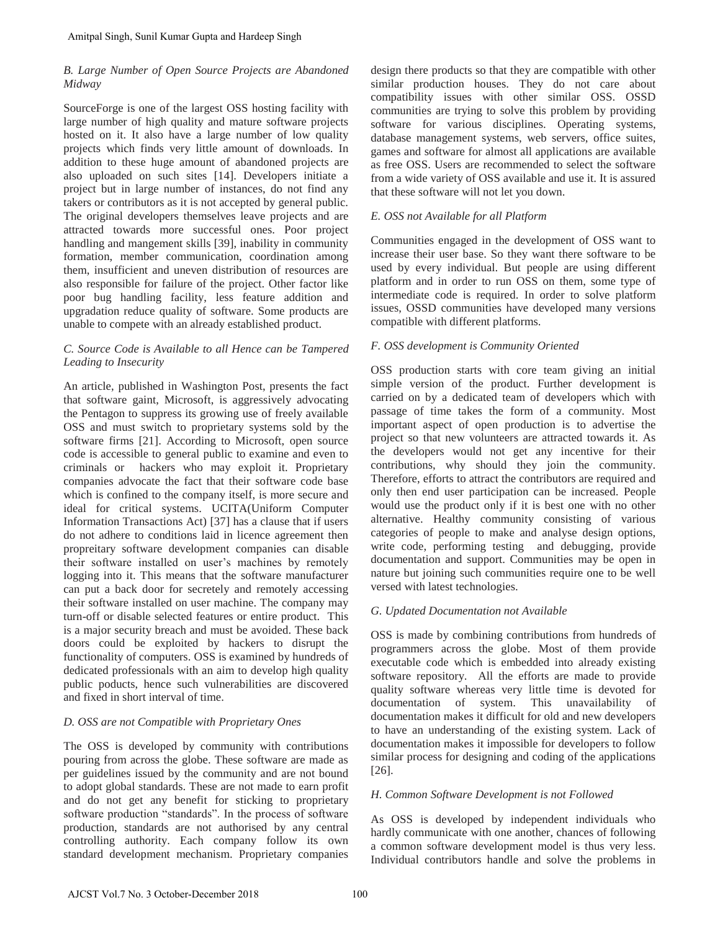# *B. Large Number of Open Source Projects are Abandoned Midway*

SourceForge is one of the largest OSS hosting facility with large number of high quality and mature software projects hosted on it. It also have a large number of low quality projects which finds very little amount of downloads. In addition to these huge amount of abandoned projects are also uploaded on such sites [14]. Developers initiate a project but in large number of instances, do not find any takers or contributors as it is not accepted by general public. The original developers themselves leave projects and are attracted towards more successful ones. Poor project handling and mangement skills [39], inability in community formation, member communication, coordination among them, insufficient and uneven distribution of resources are also responsible for failure of the project. Other factor like poor bug handling facility, less feature addition and upgradation reduce quality of software. Some products are unable to compete with an already established product.

# *C. Source Code is Available to all Hence can be Tampered Leading to Insecurity*

An article, published in Washington Post, presents the fact that software gaint, Microsoft, is aggressively advocating the Pentagon to suppress its growing use of freely available OSS and must switch to proprietary systems sold by the software firms [21]. According to Microsoft, open source code is accessible to general public to examine and even to criminals or hackers who may exploit it. Proprietary companies advocate the fact that their software code base which is confined to the company itself, is more secure and ideal for critical systems. UCITA(Uniform Computer Information Transactions Act) [37] has a clause that if users do not adhere to conditions laid in licence agreement then propreitary software development companies can disable their software installed on user's machines by remotely logging into it. This means that the software manufacturer can put a back door for secretely and remotely accessing their software installed on user machine. The company may turn-off or disable selected features or entire product. This is a major security breach and must be avoided. These back doors could be exploited by hackers to disrupt the functionality of computers. OSS is examined by hundreds of dedicated professionals with an aim to develop high quality public poducts, hence such vulnerabilities are discovered and fixed in short interval of time. Amitpal Singh, Sunii Kumar Gupta and Hardeep Singh<br>
A Large Number of Open Source Projects are Abandoned<br>
diductor<br>
Large Number of Open Source Projects are Abandoned<br>
alconcer-Derego is one of the largest OSS bosting fac

# *D. OSS are not Compatible with Proprietary Ones*

The OSS is developed by community with contributions pouring from across the globe. These software are made as per guidelines issued by the community and are not bound to adopt global standards. These are not made to earn profit and do not get any benefit for sticking to proprietary software production "standards". In the process of software production, standards are not authorised by any central controlling authority. Each company follow its own standard development mechanism. Proprietary companies design there products so that they are compatible with other similar production houses. They do not care about compatibility issues with other similar OSS. OSSD communities are trying to solve this problem by providing software for various disciplines. Operating systems, database management systems, web servers, office suites, games and software for almost all applications are available as free OSS. Users are recommended to select the software from a wide variety of OSS available and use it. It is assured that these software will not let you down.

# *E. OSS not Available for all Platform*

Communities engaged in the development of OSS want to increase their user base. So they want there software to be used by every individual. But people are using different platform and in order to run OSS on them, some type of intermediate code is required. In order to solve platform issues, OSSD communities have developed many versions compatible with different platforms.

# *F. OSS development is Community Oriented*

OSS production starts with core team giving an initial simple version of the product. Further development is carried on by a dedicated team of developers which with passage of time takes the form of a community. Most important aspect of open production is to advertise the project so that new volunteers are attracted towards it. As the developers would not get any incentive for their contributions, why should they join the community. Therefore, efforts to attract the contributors are required and only then end user participation can be increased. People would use the product only if it is best one with no other alternative. Healthy community consisting of various categories of people to make and analyse design options, write code, performing testing and debugging, provide documentation and support. Communities may be open in nature but joining such communities require one to be well versed with latest technologies.

# *G. Updated Documentation not Available*

OSS is made by combining contributions from hundreds of programmers across the globe. Most of them provide executable code which is embedded into already existing software repository. All the efforts are made to provide quality software whereas very little time is devoted for documentation of system. This unavailability of documentation makes it difficult for old and new developers to have an understanding of the existing system. Lack of documentation makes it impossible for developers to follow similar process for designing and coding of the applications [26].

# *H. Common Software Development is not Followed*

As OSS is developed by independent individuals who hardly communicate with one another, chances of following a common software development model is thus very less. Individual contributors handle and solve the problems in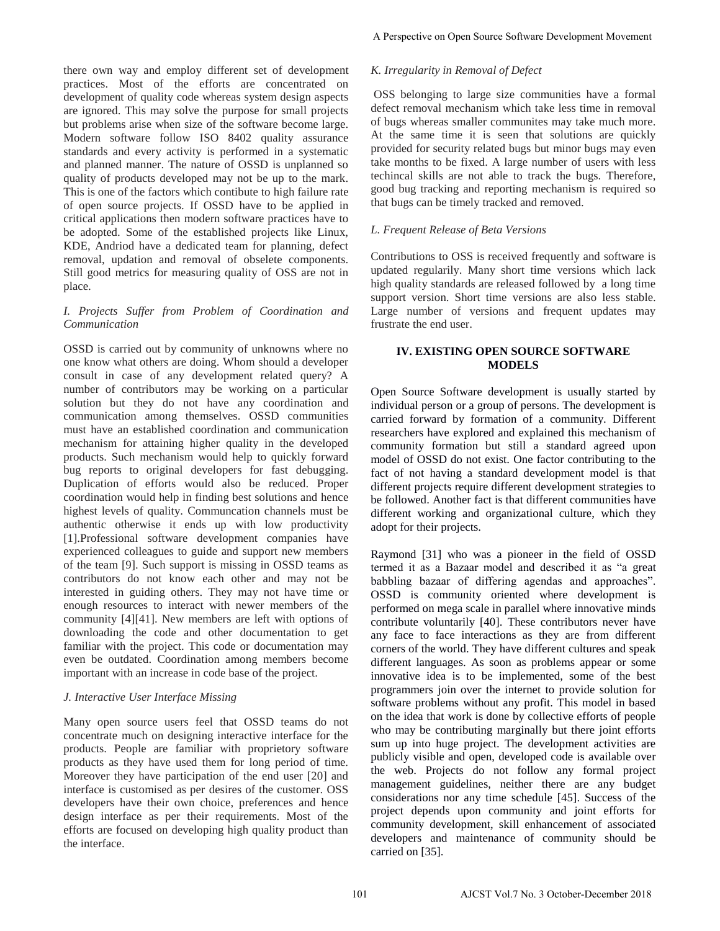there own way and employ different set of development practices. Most of the efforts are concentrated on development of quality code whereas system design aspects are ignored. This may solve the purpose for small projects but problems arise when size of the software become large. Modern software follow ISO 8402 quality assurance standards and every activity is performed in a systematic and planned manner. The nature of OSSD is unplanned so quality of products developed may not be up to the mark. This is one of the factors which contibute to high failure rate of open source projects. If OSSD have to be applied in critical applications then modern software practices have to be adopted. Some of the established projects like Linux, KDE, Andriod have a dedicated team for planning, defect removal, updation and removal of obselete components. Still good metrics for measuring quality of OSS are not in place.

# *I. Projects Suffer from Problem of Coordination and Communication*

OSSD is carried out by community of unknowns where no one know what others are doing. Whom should a developer consult in case of any development related query? A number of contributors may be working on a particular solution but they do not have any coordination and communication among themselves. OSSD communities must have an established coordination and communication mechanism for attaining higher quality in the developed products. Such mechanism would help to quickly forward bug reports to original developers for fast debugging. Duplication of efforts would also be reduced. Proper coordination would help in finding best solutions and hence highest levels of quality. Communcation channels must be authentic otherwise it ends up with low productivity [1].Professional software development companies have experienced colleagues to guide and support new members of the team [9]. Such support is missing in OSSD teams as contributors do not know each other and may not be interested in guiding others. They may not have time or enough resources to interact with newer members of the community [4][41]. New members are left with options of downloading the code and other documentation to get familiar with the project. This code or documentation may even be outdated. Coordination among members become important with an increase in code base of the project.

# *J. Interactive User Interface Missing*

Many open source users feel that OSSD teams do not concentrate much on designing interactive interface for the products. People are familiar with proprietory software products as they have used them for long period of time. Moreover they have participation of the end user [20] and interface is customised as per desires of the customer. OSS developers have their own choice, preferences and hence design interface as per their requirements. Most of the efforts are focused on developing high quality product than the interface.

# *K. Irregularity in Removal of Defect*

 OSS belonging to large size communities have a formal defect removal mechanism which take less time in removal of bugs whereas smaller communites may take much more. At the same time it is seen that solutions are quickly provided for security related bugs but minor bugs may even take months to be fixed. A large number of users with less techincal skills are not able to track the bugs. Therefore, good bug tracking and reporting mechanism is required so that bugs can be timely tracked and removed.

# *L. Frequent Release of Beta Versions*

Contributions to OSS is received frequently and software is updated regularily. Many short time versions which lack high quality standards are released followed by a long time support version. Short time versions are also less stable. Large number of versions and frequent updates may frustrate the end user.

# **IV. EXISTING OPEN SOURCE SOFTWARE MODELS**

Open Source Software development is usually started by individual person or a group of persons. The development is carried forward by formation of a community. Different researchers have explored and explained this mechanism of community formation but still a standard agreed upon model of OSSD do not exist. One factor contributing to the fact of not having a standard development model is that different projects require different development strategies to be followed. Another fact is that different communities have different working and organizational culture, which they adopt for their projects.

Raymond [31] who was a pioneer in the field of OSSD termed it as a Bazaar model and described it as "a great babbling bazaar of differing agendas and approaches". OSSD is community oriented where development is performed on mega scale in parallel where innovative minds contribute voluntarily [40]. These contributors never have any face to face interactions as they are from different corners of the world. They have different cultures and speak different languages. As soon as problems appear or some innovative idea is to be implemented, some of the best programmers join over the internet to provide solution for software problems without any profit. This model in based on the idea that work is done by collective efforts of people who may be contributing marginally but there joint efforts sum up into huge project. The development activities are publicly visible and open, developed code is available over the web. Projects do not follow any formal project management guidelines, neither there are any budget considerations nor any time schedule [45]. Success of the project depends upon community and joint efforts for community development, skill enhancement of associated developers and maintenance of community should be carried on [35]. A Perspective on Open Source Software Development Movement<br>
K. *Irregularity in Removal of Defect*<br>
deScet removal mechanism which take less time in remova<br>
of descent removal mechanism which take less time in remova<br>
of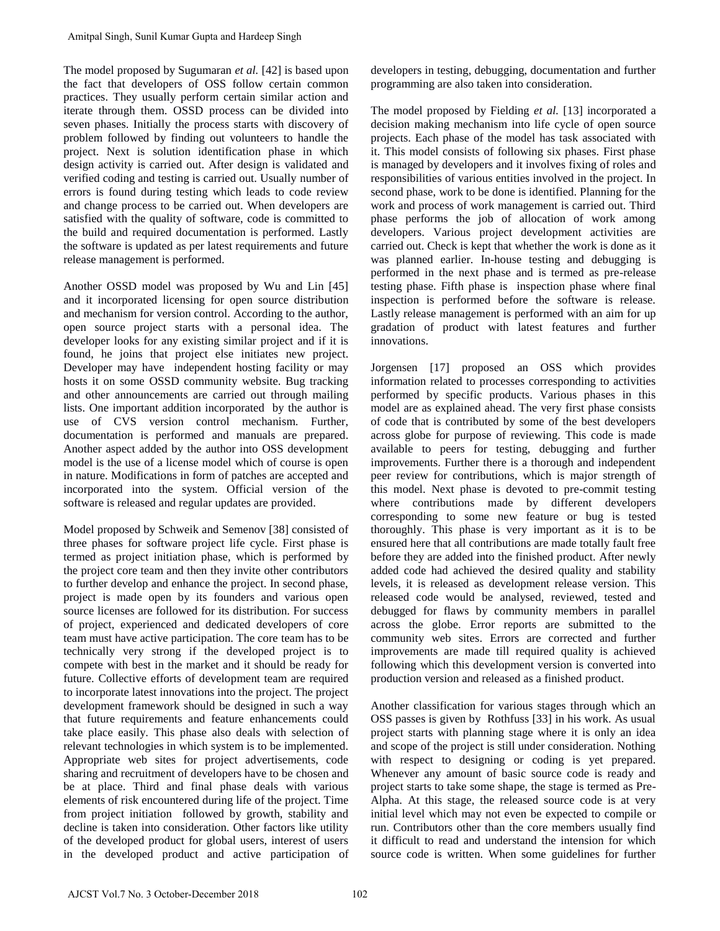The model proposed by Sugumaran *et al.* [42] is based upon the fact that developers of OSS follow certain common practices. They usually perform certain similar action and iterate through them. OSSD process can be divided into seven phases. Initially the process starts with discovery of problem followed by finding out volunteers to handle the project. Next is solution identification phase in which design activity is carried out. After design is validated and verified coding and testing is carried out. Usually number of errors is found during testing which leads to code review and change process to be carried out. When developers are satisfied with the quality of software, code is committed to the build and required documentation is performed. Lastly the software is updated as per latest requirements and future release management is performed.

Another OSSD model was proposed by Wu and Lin [45] and it incorporated licensing for open source distribution and mechanism for version control. According to the author, open source project starts with a personal idea. The developer looks for any existing similar project and if it is found, he joins that project else initiates new project. Developer may have independent hosting facility or may hosts it on some OSSD community website. Bug tracking and other announcements are carried out through mailing lists. One important addition incorporated by the author is use of CVS version control mechanism. Further, documentation is performed and manuals are prepared. Another aspect added by the author into OSS development model is the use of a license model which of course is open in nature. Modifications in form of patches are accepted and incorporated into the system. Official version of the software is released and regular updates are provided.

Model proposed by Schweik and Semenov [38] consisted of three phases for software project life cycle. First phase is termed as project initiation phase, which is performed by the project core team and then they invite other contributors to further develop and enhance the project. In second phase, project is made open by its founders and various open source licenses are followed for its distribution. For success of project, experienced and dedicated developers of core team must have active participation. The core team has to be technically very strong if the developed project is to compete with best in the market and it should be ready for future. Collective efforts of development team are required to incorporate latest innovations into the project. The project development framework should be designed in such a way that future requirements and feature enhancements could take place easily. This phase also deals with selection of relevant technologies in which system is to be implemented. Appropriate web sites for project advertisements, code sharing and recruitment of developers have to be chosen and be at place. Third and final phase deals with various elements of risk encountered during life of the project. Time from project initiation followed by growth, stability and decline is taken into consideration. Other factors like utility of the developed product for global users, interest of users in the developed product and active participation of Amitpal Singh, Sunit Kumar Gupta and Hardeep Singh<br>The model proposed by Suguraman et al. (42) is based upon<br>the fact that developes of OSS follow extrain common<br>metrices. They mually perform certain circuit environmentica

developers in testing, debugging, documentation and further programming are also taken into consideration.

The model proposed by Fielding *et al.* [13] incorporated a decision making mechanism into life cycle of open source projects. Each phase of the model has task associated with it. This model consists of following six phases. First phase is managed by developers and it involves fixing of roles and responsibilities of various entities involved in the project. In second phase, work to be done is identified. Planning for the work and process of work management is carried out. Third phase performs the job of allocation of work among developers. Various project development activities are carried out. Check is kept that whether the work is done as it was planned earlier. In-house testing and debugging is performed in the next phase and is termed as pre-release testing phase. Fifth phase is inspection phase where final inspection is performed before the software is release. Lastly release management is performed with an aim for up gradation of product with latest features and further innovations.

Jorgensen [17] proposed an OSS which provides information related to processes corresponding to activities performed by specific products. Various phases in this model are as explained ahead. The very first phase consists of code that is contributed by some of the best developers across globe for purpose of reviewing. This code is made available to peers for testing, debugging and further improvements. Further there is a thorough and independent peer review for contributions, which is major strength of this model. Next phase is devoted to pre-commit testing where contributions made by different developers corresponding to some new feature or bug is tested thoroughly. This phase is very important as it is to be ensured here that all contributions are made totally fault free before they are added into the finished product. After newly added code had achieved the desired quality and stability levels, it is released as development release version. This released code would be analysed, reviewed, tested and debugged for flaws by community members in parallel across the globe. Error reports are submitted to the community web sites. Errors are corrected and further improvements are made till required quality is achieved following which this development version is converted into production version and released as a finished product.

Another classification for various stages through which an OSS passes is given by Rothfuss [33] in his work. As usual project starts with planning stage where it is only an idea and scope of the project is still under consideration. Nothing with respect to designing or coding is yet prepared. Whenever any amount of basic source code is ready and project starts to take some shape, the stage is termed as Pre-Alpha. At this stage, the released source code is at very initial level which may not even be expected to compile or run. Contributors other than the core members usually find it difficult to read and understand the intension for which source code is written. When some guidelines for further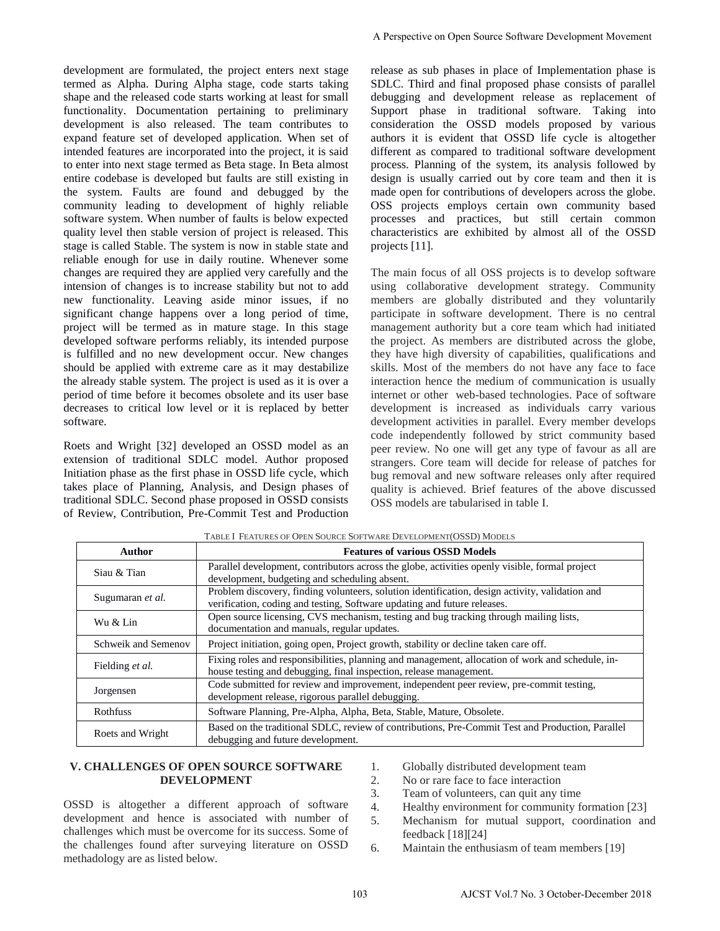development are formulated, the project enters next stage termed as Alpha. During Alpha stage, code starts taking shape and the released code starts working at least for small functionality. Documentation pertaining to preliminary development is also released. The team contributes to expand feature set of developed application. When set of intended features are incorporated into the project, it is said to enter into next stage termed as Beta stage. In Beta almost entire codebase is developed but faults are still existing in the system. Faults are found and debugged by the community leading to development of highly reliable software system. When number of faults is below expected quality level then stable version of project is released. This stage is called Stable. The system is now in stable state and reliable enough for use in daily routine. Whenever some changes are required they are applied very carefully and the intension of changes is to increase stability but not to add new functionality. Leaving aside minor issues, if no significant change happens over a long period of time, project will be termed as in mature stage. In this stage developed software performs reliably, its intended purpose is fulfilled and no new development occur. New changes should be applied with extreme care as it may destabilize the already stable system. The project is used as it is over a period of time before it becomes obsolete and its user base decreases to critical low level or it is replaced by better software.

Roets and Wright [32] developed an OSSD model as an extension of traditional SDLC model. Author proposed Initiation phase as the first phase in OSSD life cycle, which takes place of Planning, Analysis, and Design phases of traditional SDLC. Second phase proposed in OSSD consists of Review, Contribution, Pre-Commit Test and Production

release as sub phases in place of Implementation phase is SDLC. Third and final proposed phase consists of parallel debugging and development release as replacement of Support phase in traditional software. Taking into consideration the OSSD models proposed by various authors it is evident that OSSD life cycle is altogether different as compared to traditional software development process. Planning of the system, its analysis followed by design is usually carried out by core team and then it is made open for contributions of developers across the globe. OSS projects employs certain own community based processes and practices, but still certain common characteristics are exhibited by almost all of the OSSD projects [11].

The main focus of all OSS projects is to develop software using collaborative development strategy. Community members are globally distributed and they voluntarily participate in software development. There is no central management authority but a core team which had initiated the project. As members are distributed across the globe, they have high diversity of capabilities, qualifications and skills. Most of the members do not have any face to face interaction hence the medium of communication is usually internet or other web-based technologies. Pace of software development is increased as individuals carry various development activities in parallel. Every member develops code independently followed by strict community based peer review. No one will get any type of favour as all are strangers. Core team will decide for release of patches for bug removal and new software releases only after required quality is achieved. Brief features of the above discussed OSS models are tabularised in table I. A Perspective on Open Source Software Development Movement<br>
release as sub phases in phace of Implementation phase<br>
SILC. Third and forwal proposentation phase<br>
subsequent phase<br>
development release as replacement of<br>
dev

| <b>Author</b>       | <b>Features of various OSSD Models</b>                                                                                                                                      |
|---------------------|-----------------------------------------------------------------------------------------------------------------------------------------------------------------------------|
| Siau & Tian         | Parallel development, contributors across the globe, activities openly visible, formal project<br>development, budgeting and scheduling absent.                             |
| Sugumaran et al.    | Problem discovery, finding volunteers, solution identification, design activity, validation and<br>verification, coding and testing, Software updating and future releases. |
| Wu & Lin            | Open source licensing, CVS mechanism, testing and bug tracking through mailing lists,<br>documentation and manuals, regular updates.                                        |
| Schweik and Semenov | Project initiation, going open, Project growth, stability or decline taken care off.                                                                                        |
| Fielding et al.     | Fixing roles and responsibilities, planning and management, allocation of work and schedule, in-<br>house testing and debugging, final inspection, release management.      |
| Jorgensen           | Code submitted for review and improvement, independent peer review, pre-commit testing,<br>development release, rigorous parallel debugging.                                |
| <b>Rothfuss</b>     | Software Planning, Pre-Alpha, Alpha, Beta, Stable, Mature, Obsolete.                                                                                                        |
| Roets and Wright    | Based on the traditional SDLC, review of contributions, Pre-Commit Test and Production, Parallel<br>debugging and future development.                                       |

TABLE I FEATURES OF OPEN SOURCE SOFTWARE DEVELOPMENT(OSSD) MODELS

# **V. CHALLENGES OF OPEN SOURCE SOFTWARE DEVELOPMENT**

OSSD is altogether a different approach of software development and hence is associated with number of challenges which must be overcome for its success. Some of the challenges found after surveying literature on OSSD methadology are as listed below.

- 1. Globally distributed development team
- 2. No or rare face to face interaction
- 3. Team of volunteers, can quit any time
- 4. Healthy environment for community formation [23]
- 5. Mechanism for mutual support, coordination and feedback [18][24]
- 6. Maintain the enthusiasm of team members [19]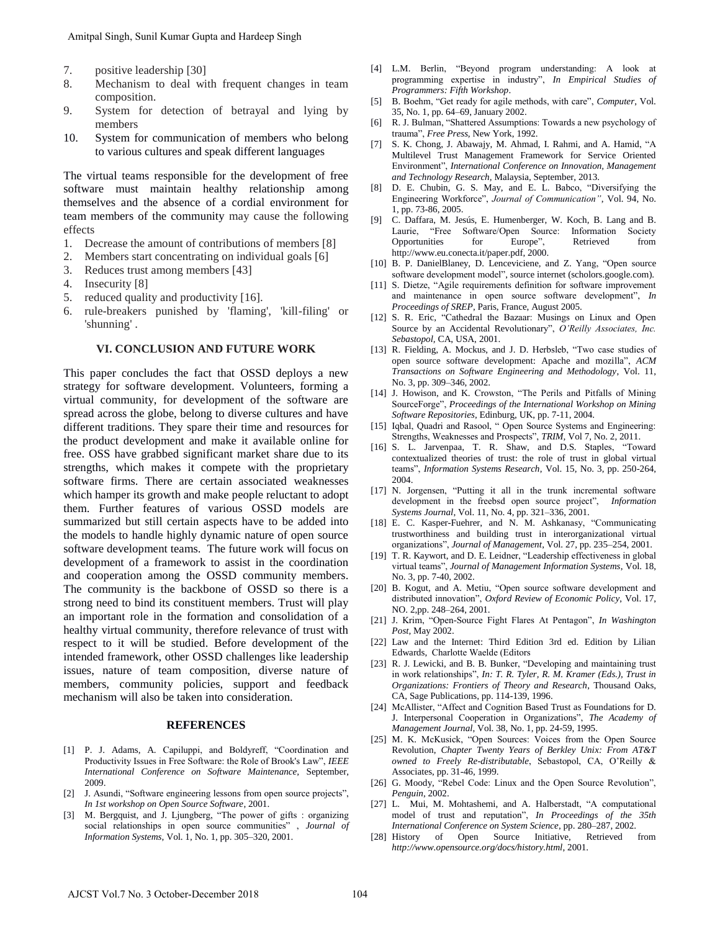- 7. positive leadership [30]
- 8. Mechanism to deal with frequent changes in team composition.
- 9. System for detection of betrayal and lying by members
- 10. System for communication of members who belong to various cultures and speak different languages

The virtual teams responsible for the development of free software must maintain healthy relationship among themselves and the absence of a cordial environment for team members of the community may cause the following effects

- 1. Decrease the amount of contributions of members [8]
- 2. Members start concentrating on individual goals [6]
- 3. Reduces trust among members [43]
- 4. Insecurity [8]
- 5. reduced quality and productivity [16].
- 6. rule-breakers punished by 'flaming', 'kill-filing' or 'shunning' .

#### **VI. CONCLUSION AND FUTURE WORK**

This paper concludes the fact that OSSD deploys a new strategy for software development. Volunteers, forming a virtual community, for development of the software are spread across the globe, belong to diverse cultures and have different traditions. They spare their time and resources for the product development and make it available online for free. OSS have grabbed significant market share due to its strengths, which makes it compete with the proprietary software firms. There are certain associated weaknesses which hamper its growth and make people reluctant to adopt them. Further features of various OSSD models are summarized but still certain aspects have to be added into the models to handle highly dynamic nature of open source software development teams. The future work will focus on development of a framework to assist in the coordination and cooperation among the OSSD community members. The community is the backbone of OSSD so there is a strong need to bind its constituent members. Trust will play an important role in the formation and consolidation of a healthy virtual community, therefore relevance of trust with respect to it will be studied. Before development of the intended framework, other OSSD challenges like leadership issues, nature of team composition, diverse nature of members, community policies, support and feedback mechanism will also be taken into consideration. Amitpal Singh, Sunit Kumar Gupta and Hardeep Singh<br>
1. positive leadership [30]<br>
2. System for delection of betrayal and lying by<br>
2. System for delection of betrayal and lying by<br>
2. System for delection of betrayal and

#### **REFERENCES**

- [1] P. J. Adams, A. Capiluppi, and Boldyreff, "Coordination and Productivity Issues in Free Software: the Role of Brook's Law", *IEEE International Conference on Software Maintenance,* September, 2009.
- [2] J. Asundi, "Software engineering lessons from open source projects", *In 1st workshop on Open Source Software*, 2001.
- M. Bergquist, and J. Ljungberg, "The power of gifts : organizing social relationships in open source communities" , *Journal of Information Systems*, Vol. 1, No. 1, pp. 305–320, 2001.
- [4] L.M. Berlin, "Beyond program understanding: A look at programming expertise in industry", *In Empirical Studies of Programmers: Fifth Workshop*.
- [5] B. Boehm, "Get ready for agile methods, with care", *Computer*, Vol. 35, No. 1, pp. 64–69, January 2002.
- [6] R. J. Bulman, "Shattered Assumptions: Towards a new psychology of trauma", *Free Press,* New York, 1992.
- [7] S. K. Chong, J. Abawajy, M. Ahmad, I. Rahmi, and A. Hamid, "A Multilevel Trust Management Framework for Service Oriented Environment", *International Conference on Innovation, Management and Technology Research,* Malaysia*,* September, 2013.
- [8] D. E. Chubin, G. S. May, and E. L. Babco, "Diversifying the Engineering Workforce", *Journal of Communication"*, Vol. 94, No. 1, pp. 73-86, 2005.
- [9] C. Daffara, M. Jesús, E. Humenberger, W. Koch, B. Lang and B. Laurie, "Free Software/Open Source: Information Society Opportunities for Europe", Retrieved from http://www.eu.conecta.it/paper.pdf, 2000.
- [10] B. P. DanielBlaney, D. Lenceviciene, and Z. Yang, "Open source software development model", source internet (scholors.google.com).
- [11] S. Dietze, "Agile requirements definition for software improvement and maintenance in open source software development", *In Proceedings of SREP*, Paris, France, August 2005.
- [12] S. R. Eric, "Cathedral the Bazaar: Musings on Linux and Open Source by an Accidental Revolutionary", *O'Reilly Associates, Inc. Sebastopol,* CA, USA, 2001.
- [13] R. Fielding, A. Mockus, and J. D. Herbsleb, "Two case studies of open source software development: Apache and mozilla", *ACM Transactions on Software Engineering and Methodology*, Vol. 11, No. 3, pp. 309–346, 2002.
- [14] J. Howison, and K. Crowston, "The Perils and Pitfalls of Mining SourceForge", *Proceedings of the International Workshop on Mining Software Repositories*, Edinburg, UK, pp. 7-11, 2004.
- [15] Igbal, Quadri and Rasool, " Open Source Systems and Engineering: Strengths, Weaknesses and Prospects", *TRIM,* Vol 7, No. 2, 2011.
- [16] S. L. Jarvenpaa, T. R. Shaw, and D.S. Staples, "Toward contextualized theories of trust: the role of trust in global virtual teams", *Information Systems Research*, Vol. 15, No. 3, pp. 250-264, 2004.
- [17] N. Jorgensen, "Putting it all in the trunk incremental software development in the freebsd open source project", *Information Systems Journal*, Vol. 11, No. 4, pp. 321–336, 2001.
- [18] E. C. Kasper-Fuehrer, and N. M. Ashkanasy, "Communicating trustworthiness and building trust in interorganizational virtual organizations", *Journal of Management*, Vol. 27, pp. 235–254, 2001.
- [19] T. R. Kaywort, and D. E. Leidner, "Leadership effectiveness in global virtual teams", *Journal of Management Information Systems*, Vol. 18, No. 3, pp. 7-40, 2002.
- [20] B. Kogut, and A. Metiu, "Open source software development and distributed innovation", *Oxford Review of Economic Policy*, Vol. 17, NO. 2,pp. 248–264, 2001.
- [21] J. Krim, "Open-Source Fight Flares At Pentagon", *In Washington Post,* May 2002.
- [22] Law and the Internet: Third Edition 3rd ed. Edition by Lilian Edwards, Charlotte Waelde (Editors
- [23] R. J. Lewicki, and B. B. Bunker, "Developing and maintaining trust in work relationships", *In: T. R. Tyler, R. M. Kramer (Eds.), Trust in Organizations: Frontiers of Theory and Research*, Thousand Oaks, CA, Sage Publications, pp. 114-139, 1996.
- [24] McAllister, "Affect and Cognition Based Trust as Foundations for D. J. Interpersonal Cooperation in Organizations", *The Academy of Management Journal*, Vol. 38, No. 1, pp. 24-59, 1995.
- [25] M. K. McKusick, "Open Sources: Voices from the Open Source Revolution, *Chapter Twenty Years of Berkley Unix: From AT&T owned to Freely Re-distributable*, Sebastopol, CA, O"Reilly & Associates, pp. 31-46, 1999.
- [26] G. Moody, "Rebel Code: Linux and the Open Source Revolution", *Penguin*, 2002.
- [27] L. Mui, M. Mohtashemi, and A. Halberstadt, "A computational model of trust and reputation", *In Proceedings of the 35th International Conference on System Science*, pp. 280–287, 2002.
- [28] History of Open Source Initiative, Retrieved from *http://www.opensource.org/docs/history.html*, 2001.